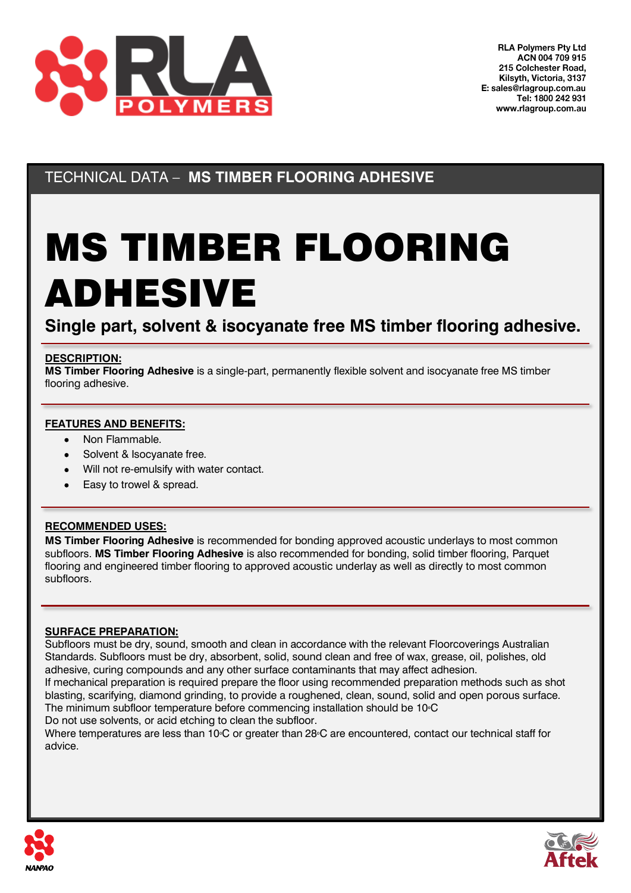

TECHNICAL DATA – **MS TIMBER FLOORING ADHESIVE**

# MS TIMBER FLOORING ADHESIVE

**Single part, solvent & isocyanate free MS timber flooring adhesive.**

#### **DESCRIPTION:**

**MS Timber Flooring Adhesive** is a single-part, permanently flexible solvent and isocyanate free MS timber flooring adhesive.

### **FEATURES AND BENEFITS:**

- Non Flammable.
- Solvent & Isocyanate free.
- Will not re-emulsify with water contact.
- Easy to trowel & spread.

#### **RECOMMENDED USES:**

**MS Timber Flooring Adhesive** is recommended for bonding approved acoustic underlays to most common subfloors. **MS Timber Flooring Adhesive** is also recommended for bonding, solid timber flooring, Parquet flooring and engineered timber flooring to approved acoustic underlay as well as directly to most common subfloors.

#### **SURFACE PREPARATION:**

Subfloors must be dry, sound, smooth and clean in accordance with the relevant Floorcoverings Australian Standards. Subfloors must be dry, absorbent, solid, sound clean and free of wax, grease, oil, polishes, old adhesive, curing compounds and any other surface contaminants that may affect adhesion.

If mechanical preparation is required prepare the floor using recommended preparation methods such as shot blasting, scarifying, diamond grinding, to provide a roughened, clean, sound, solid and open porous surface. The minimum subfloor temperature before commencing installation should be 10⁰C Do not use solvents, or acid etching to clean the subfloor.

Where temperatures are less than 10<sup>°</sup>C or greater than 28<sup>°</sup>C are encountered, contact our technical staff for advice.



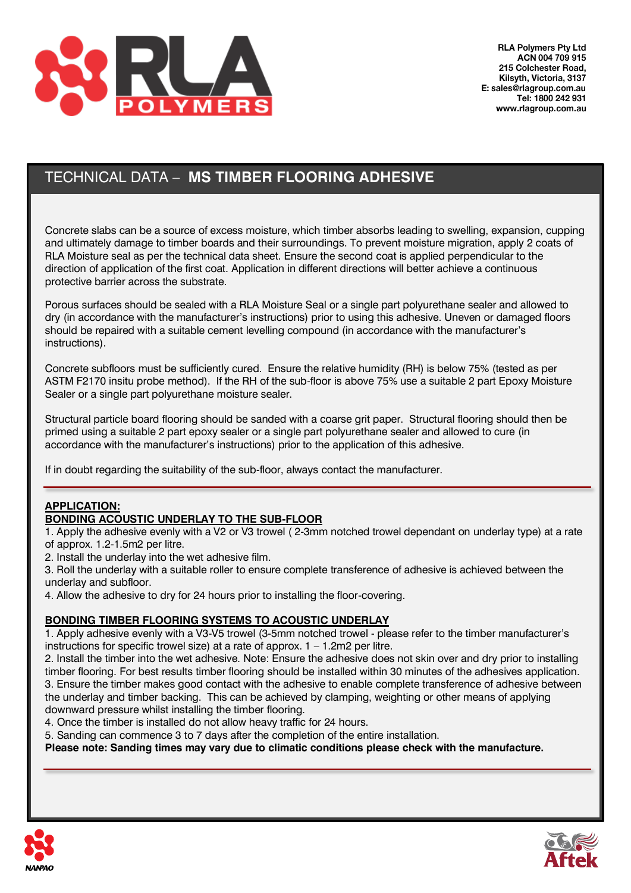

# TECHNICAL DATA – **MS TIMBER FLOORING ADHESIVE**

Concrete slabs can be a source of excess moisture, which timber absorbs leading to swelling, expansion, cupping and ultimately damage to timber boards and their surroundings. To prevent moisture migration, apply 2 coats of RLA Moisture seal as per the technical data sheet. Ensure the second coat is applied perpendicular to the direction of application of the first coat. Application in different directions will better achieve a continuous protective barrier across the substrate.

Porous surfaces should be sealed with a RLA Moisture Seal or a single part polyurethane sealer and allowed to dry (in accordance with the manufacturer's instructions) prior to using this adhesive. Uneven or damaged floors should be repaired with a suitable cement levelling compound (in accordance with the manufacturer's instructions).

Concrete subfloors must be sufficiently cured. Ensure the relative humidity (RH) is below 75% (tested as per ASTM F2170 insitu probe method). If the RH of the sub-floor is above 75% use a suitable 2 part Epoxy Moisture Sealer or a single part polyurethane moisture sealer.

Structural particle board flooring should be sanded with a coarse grit paper. Structural flooring should then be primed using a suitable 2 part epoxy sealer or a single part polyurethane sealer and allowed to cure (in accordance with the manufacturer's instructions) prior to the application of this adhesive.

If in doubt regarding the suitability of the sub-floor, always contact the manufacturer.

#### **APPLICATION:**

## **BONDING ACOUSTIC UNDERLAY TO THE SUB-FLOOR**

1. Apply the adhesive evenly with a V2 or V3 trowel ( 2-3mm notched trowel dependant on underlay type) at a rate of approx. 1.2-1.5m2 per litre.

2. Install the underlay into the wet adhesive film.

3. Roll the underlay with a suitable roller to ensure complete transference of adhesive is achieved between the underlay and subfloor.

4. Allow the adhesive to dry for 24 hours prior to installing the floor-covering.

## **BONDING TIMBER FLOORING SYSTEMS TO ACOUSTIC UNDERLAY**

1. Apply adhesive evenly with a V3-V5 trowel (3-5mm notched trowel - please refer to the timber manufacturer's instructions for specific trowel size) at a rate of approx.  $1 - 1.2$ m2 per litre.

2. Install the timber into the wet adhesive. Note: Ensure the adhesive does not skin over and dry prior to installing timber flooring. For best results timber flooring should be installed within 30 minutes of the adhesives application. 3. Ensure the timber makes good contact with the adhesive to enable complete transference of adhesive between the underlay and timber backing. This can be achieved by clamping, weighting or other means of applying downward pressure whilst installing the timber flooring.

4. Once the timber is installed do not allow heavy traffic for 24 hours.

5. Sanding can commence 3 to 7 days after the completion of the entire installation.

**Please note: Sanding times may vary due to climatic conditions please check with the manufacture.**



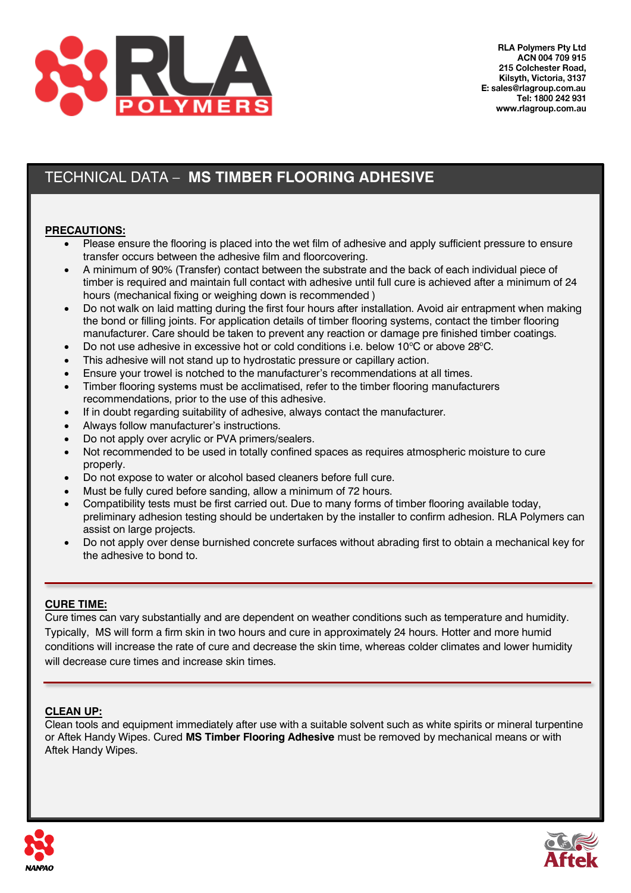

# TECHNICAL DATA – **MS TIMBER FLOORING ADHESIVE**

#### **PRECAUTIONS:**

- Please ensure the flooring is placed into the wet film of adhesive and apply sufficient pressure to ensure transfer occurs between the adhesive film and floorcovering.
- A minimum of 90% (Transfer) contact between the substrate and the back of each individual piece of timber is required and maintain full contact with adhesive until full cure is achieved after a minimum of 24 hours (mechanical fixing or weighing down is recommended )
- Do not walk on laid matting during the first four hours after installation. Avoid air entrapment when making the bond or filling joints. For application details of timber flooring systems, contact the timber flooring manufacturer. Care should be taken to prevent any reaction or damage pre finished timber coatings.
- Do not use adhesive in excessive hot or cold conditions i.e. below  $10^{\circ}$ C or above  $28^{\circ}$ C.
- This adhesive will not stand up to hydrostatic pressure or capillary action.
- Ensure your trowel is notched to the manufacturer's recommendations at all times.
- Timber flooring systems must be acclimatised, refer to the timber flooring manufacturers recommendations, prior to the use of this adhesive.
- If in doubt regarding suitability of adhesive, always contact the manufacturer.
- Always follow manufacturer's instructions.
- Do not apply over acrylic or PVA primers/sealers.
- Not recommended to be used in totally confined spaces as requires atmospheric moisture to cure properly.
- Do not expose to water or alcohol based cleaners before full cure.
- Must be fully cured before sanding, allow a minimum of 72 hours.
- Compatibility tests must be first carried out. Due to many forms of timber flooring available today, preliminary adhesion testing should be undertaken by the installer to confirm adhesion. RLA Polymers can assist on large projects.
- Do not apply over dense burnished concrete surfaces without abrading first to obtain a mechanical key for the adhesive to bond to.

#### **CURE TIME:**

Cure times can vary substantially and are dependent on weather conditions such as temperature and humidity. Typically, MS will form a firm skin in two hours and cure in approximately 24 hours. Hotter and more humid conditions will increase the rate of cure and decrease the skin time, whereas colder climates and lower humidity will decrease cure times and increase skin times.

#### **CLEAN UP:**

Clean tools and equipment immediately after use with a suitable solvent such as white spirits or mineral turpentine or Aftek Handy Wipes. Cured **MS Timber Flooring Adhesive** must be removed by mechanical means or with Aftek Handy Wipes.



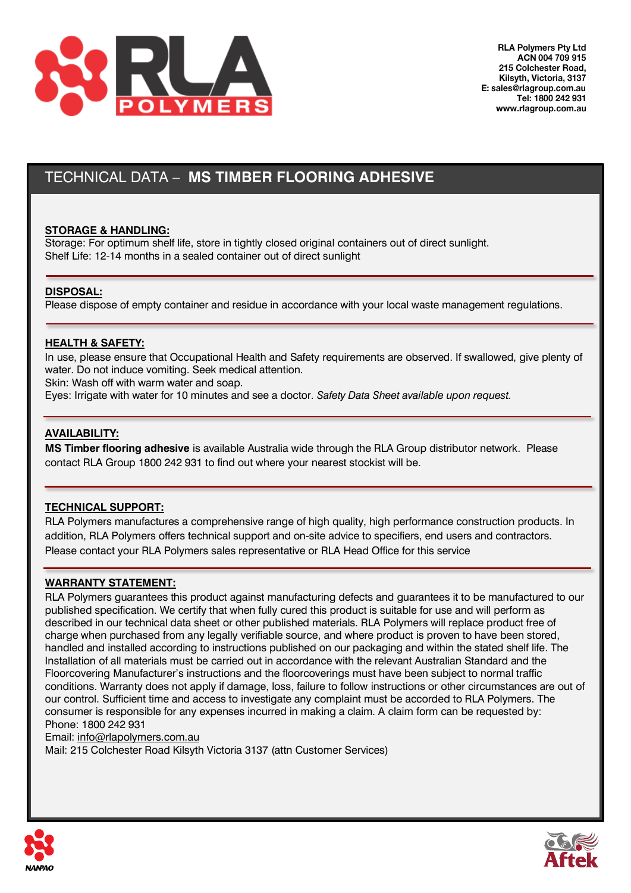

## TECHNICAL DATA – **MS TIMBER FLOORING ADHESIVE**

#### **STORAGE & HANDLING:**

Storage: For optimum shelf life, store in tightly closed original containers out of direct sunlight. Shelf Life: 12-14 months in a sealed container out of direct sunlight

#### **DISPOSAL:**

Please dispose of empty container and residue in accordance with your local waste management regulations.

#### **HEALTH & SAFETY:**

In use, please ensure that Occupational Health and Safety requirements are observed. If swallowed, give plenty of water. Do not induce vomiting. Seek medical attention.

Skin: Wash off with warm water and soap.

Eyes: Irrigate with water for 10 minutes and see a doctor. *Safety Data Sheet available upon request.*

#### **AVAILABILITY:**

**MS Timber flooring adhesive** is available Australia wide through the RLA Group distributor network. Please contact RLA Group 1800 242 931 to find out where your nearest stockist will be.

#### **TECHNICAL SUPPORT:**

RLA Polymers manufactures a comprehensive range of high quality, high performance construction products. In addition, RLA Polymers offers technical support and on-site advice to specifiers, end users and contractors. Please contact your RLA Polymers sales representative or RLA Head Office for this service

#### **WARRANTY STATEMENT:**

RLA Polymers guarantees this product against manufacturing defects and guarantees it to be manufactured to our published specification. We certify that when fully cured this product is suitable for use and will perform as described in our technical data sheet or other published materials. RLA Polymers will replace product free of charge when purchased from any legally verifiable source, and where product is proven to have been stored, handled and installed according to instructions published on our packaging and within the stated shelf life. The Installation of all materials must be carried out in accordance with the relevant Australian Standard and the Floorcovering Manufacturer's instructions and the floorcoverings must have been subject to normal traffic conditions. Warranty does not apply if damage, loss, failure to follow instructions or other circumstances are out of our control. Sufficient time and access to investigate any complaint must be accorded to RLA Polymers. The consumer is responsible for any expenses incurred in making a claim. A claim form can be requested by: Phone: 1800 242 931

Email: [info@rlapolymers.com.au](mailto:info@rlapolymers.com.au)

Mail: 215 Colchester Road Kilsyth Victoria 3137 (attn Customer Services)